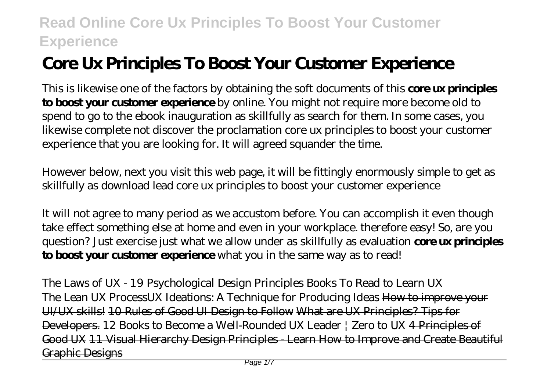# **Core Ux Principles To Boost Your Customer Experience**

This is likewise one of the factors by obtaining the soft documents of this **core ux principles to boost your customer experience** by online. You might not require more become old to spend to go to the ebook inauguration as skillfully as search for them. In some cases, you likewise complete not discover the proclamation core ux principles to boost your customer experience that you are looking for. It will agreed squander the time.

However below, next you visit this web page, it will be fittingly enormously simple to get as skillfully as download lead core ux principles to boost your customer experience

It will not agree to many period as we accustom before. You can accomplish it even though take effect something else at home and even in your workplace. therefore easy! So, are you question? Just exercise just what we allow under as skillfully as evaluation **core ux principles to boost your customer experience** what you in the same way as to read!

The Laws of UX - 19 Psychological Design Principles Books To Read to Learn UX The Lean UX Process*UX Ideations: A Technique for Producing Ideas* How to improve your UI/UX skills! 10 Rules of Good UI Design to Follow What are UX Principles? Tips for Developers. 12 Books to Become a Well-Rounded UX Leader | Zero to UX 4 Principles of Good UX 11 Visual Hierarchy Design Principles - Learn How to Improve and Create Beautiful Graphic Designs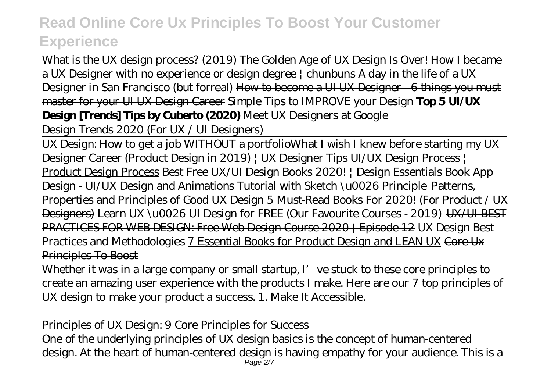What is the UX design process? (2019) The Golden Age of UX Design Is Over! How I became a UX Designer with no experience or design degree  $\vert$  chunbuns A day in the life of a UX Designer in San Francisco (but forreal) How to become a UI UX Designer - 6 things you must master for your UI UX Design Career *Simple Tips to IMPROVE your Design* **Top 5 UI/UX Design [Trends] Tips by Cuberto (2020)** *Meet UX Designers at Google*

Design Trends 2020 (For UX / UI Designers)

UX Design: How to get a job WITHOUT a portfolio*What I wish I knew before starting my UX Designer Career (Product Design in 2019) | UX Designer Tips* UI/UX Design Process | Product Design Process Best Free UX/UI Design Books 2020! | Design Essentials Book App Design - UI/UX Design and Animations Tutorial with Sketch \u0026 Principle Patterns, Properties and Principles of Good UX Design 5 Must-Read Books For 2020! (For Product / UX Designers) Learn UX \u0026 UI Design for FREE (Our Favourite Courses - 2019) UX/UI BEST PRACTICES FOR WEB DESIGN: Free Web Design Course 2020 | Episode 12 *UX Design Best Practices and Methodologies* 7 Essential Books for Product Design and LEAN UX Core Ux Principles To Boost

Whether it was in a large company or small startup,  $I'$  ve stuck to these core principles to create an amazing user experience with the products I make. Here are our 7 top principles of UX design to make your product a success. 1. Make It Accessible.

### Principles of UX Design: 9 Core Principles for Success

One of the underlying principles of UX design basics is the concept of human-centered design. At the heart of human-centered design is having empathy for your audience. This is a Page 2/7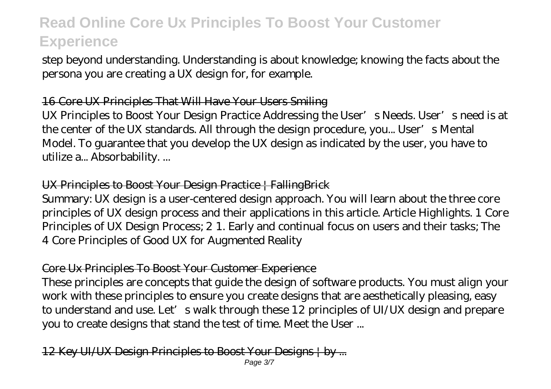step beyond understanding. Understanding is about knowledge; knowing the facts about the persona you are creating a UX design for, for example.

#### 16 Core UX Principles That Will Have Your Users Smiling

UX Principles to Boost Your Design Practice Addressing the User's Needs. User's need is at the center of the UX standards. All through the design procedure, you... User's Mental Model. To guarantee that you develop the UX design as indicated by the user, you have to utilize a... Absorbability. ...

## UX Principles to Boost Your Design Practice | FallingBrick

Summary: UX design is a user-centered design approach. You will learn about the three core principles of UX design process and their applications in this article. Article Highlights. 1 Core Principles of UX Design Process; 2 1. Early and continual focus on users and their tasks; The 4 Core Principles of Good UX for Augmented Reality

# Core Ux Principles To Boost Your Customer Experience

These principles are concepts that guide the design of software products. You must align your work with these principles to ensure you create designs that are aesthetically pleasing, easy to understand and use. Let's walk through these 12 principles of UI/UX design and prepare you to create designs that stand the test of time. Meet the User ...

12 Key UI/UX Design Principles to Boost Your Designs | by ...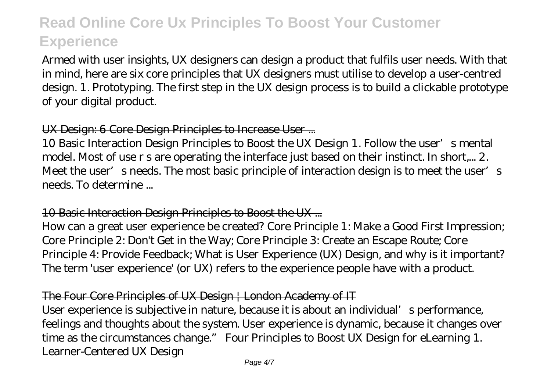Armed with user insights, UX designers can design a product that fulfils user needs. With that in mind, here are six core principles that UX designers must utilise to develop a user-centred design. 1. Prototyping. The first step in the UX design process is to build a clickable prototype of your digital product.

### UX Design: 6 Core Design Principles to Increase User ...

10 Basic Interaction Design Principles to Boost the UX Design 1. Follow the user's mental model. Most of use r s are operating the interface just based on their instinct. In short,... 2. Meet the user's needs. The most basic principle of interaction design is to meet the user's needs. To determine ...

### 10 Basic Interaction Design Principles to Boost the UX ...

How can a great user experience be created? Core Principle 1: Make a Good First Impression; Core Principle 2: Don't Get in the Way; Core Principle 3: Create an Escape Route; Core Principle 4: Provide Feedback; What is User Experience (UX) Design, and why is it important? The term 'user experience' (or UX) refers to the experience people have with a product.

### The Four Core Principles of UX Design | London Academy of IT

User experience is subjective in nature, because it is about an individual's performance, feelings and thoughts about the system. User experience is dynamic, because it changes over time as the circumstances change." Four Principles to Boost UX Design for eLearning 1. Learner-Centered UX Design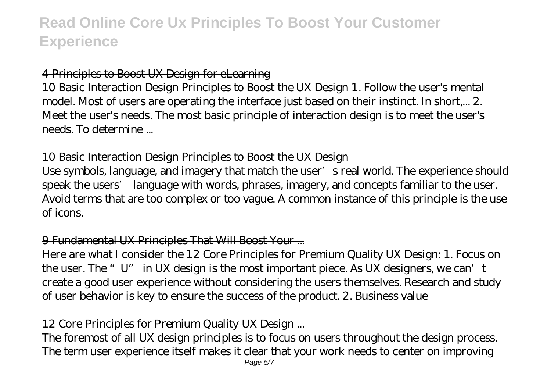#### 4 Principles to Boost UX Design for eLearning

10 Basic Interaction Design Principles to Boost the UX Design 1. Follow the user's mental model. Most of users are operating the interface just based on their instinct. In short,... 2. Meet the user's needs. The most basic principle of interaction design is to meet the user's needs. To determine ...

#### 10 Basic Interaction Design Principles to Boost the UX Design

Use symbols, language, and imagery that match the user's real world. The experience should speak the users' language with words, phrases, imagery, and concepts familiar to the user. Avoid terms that are too complex or too vague. A common instance of this principle is the use of icons.

#### 9 Fundamental UX Principles That Will Boost Your ...

Here are what I consider the 12 Core Principles for Premium Quality UX Design: 1. Focus on the user. The "U" in UX design is the most important piece. As UX designers, we can't create a good user experience without considering the users themselves. Research and study of user behavior is key to ensure the success of the product. 2. Business value

### 12 Core Principles for Premium Quality UX Design ...

The foremost of all UX design principles is to focus on users throughout the design process. The term user experience itself makes it clear that your work needs to center on improving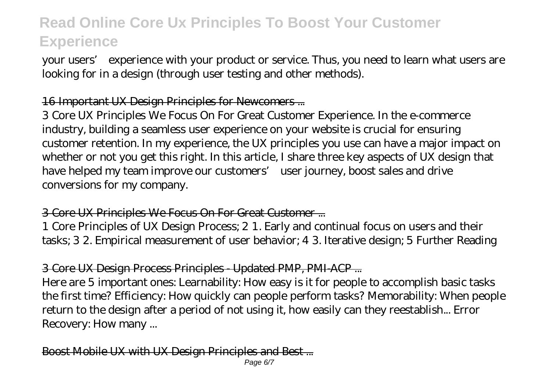your users' experience with your product or service. Thus, you need to learn what users are looking for in a design (through user testing and other methods).

#### 16 Important UX Design Principles for Newcomers ...

3 Core UX Principles We Focus On For Great Customer Experience. In the e-commerce industry, building a seamless user experience on your website is crucial for ensuring customer retention. In my experience, the UX principles you use can have a major impact on whether or not you get this right. In this article, I share three key aspects of UX design that have helped my team improve our customers' user journey, boost sales and drive conversions for my company.

#### 3 Core UX Principles We Focus On For Great Customer ...

1 Core Principles of UX Design Process; 2 1. Early and continual focus on users and their tasks; 3 2. Empirical measurement of user behavior; 4 3. Iterative design; 5 Further Reading

### 3 Core UX Design Process Principles - Updated PMP, PMI-ACP ...

Here are 5 important ones: Learnability: How easy is it for people to accomplish basic tasks the first time? Efficiency: How quickly can people perform tasks? Memorability: When people return to the design after a period of not using it, how easily can they reestablish... Error Recovery: How many ...

Boost Mobile UX with UX Design Principles and Best ...